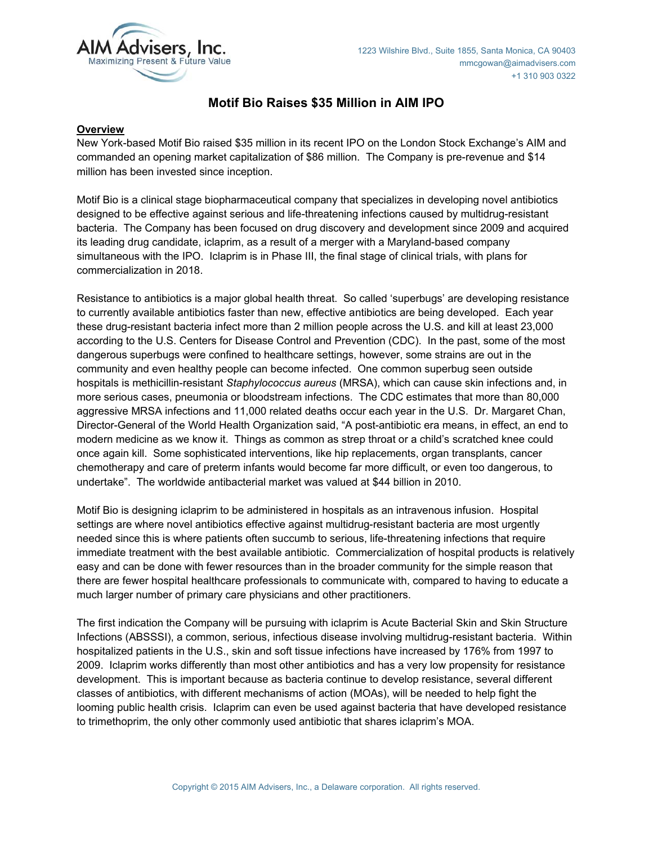

# **Motif Bio Raises \$35 Million in AIM IPO**

## **Overview**

New York-based Motif Bio raised \$35 million in its recent IPO on the London Stock Exchange's AIM and commanded an opening market capitalization of \$86 million. The Company is pre-revenue and \$14 million has been invested since inception.

Motif Bio is a clinical stage biopharmaceutical company that specializes in developing novel antibiotics designed to be effective against serious and life-threatening infections caused by multidrug-resistant bacteria. The Company has been focused on drug discovery and development since 2009 and acquired its leading drug candidate, iclaprim, as a result of a merger with a Maryland-based company simultaneous with the IPO. Iclaprim is in Phase III, the final stage of clinical trials, with plans for commercialization in 2018.

Resistance to antibiotics is a major global health threat. So called 'superbugs' are developing resistance to currently available antibiotics faster than new, effective antibiotics are being developed. Each year these drug-resistant bacteria infect more than 2 million people across the U.S. and kill at least 23,000 according to the U.S. Centers for Disease Control and Prevention (CDC). In the past, some of the most dangerous superbugs were confined to healthcare settings, however, some strains are out in the community and even healthy people can become infected. One common superbug seen outside hospitals is methicillin-resistant *Staphylococcus aureus* (MRSA), which can cause skin infections and, in more serious cases, pneumonia or bloodstream infections. The CDC estimates that more than 80,000 aggressive MRSA infections and 11,000 related deaths occur each year in the U.S. Dr. Margaret Chan, Director-General of the World Health Organization said, "A post-antibiotic era means, in effect, an end to modern medicine as we know it. Things as common as strep throat or a child's scratched knee could once again kill. Some sophisticated interventions, like hip replacements, organ transplants, cancer chemotherapy and care of preterm infants would become far more difficult, or even too dangerous, to undertake". The worldwide antibacterial market was valued at \$44 billion in 2010.

Motif Bio is designing iclaprim to be administered in hospitals as an intravenous infusion. Hospital settings are where novel antibiotics effective against multidrug-resistant bacteria are most urgently needed since this is where patients often succumb to serious, life-threatening infections that require immediate treatment with the best available antibiotic. Commercialization of hospital products is relatively easy and can be done with fewer resources than in the broader community for the simple reason that there are fewer hospital healthcare professionals to communicate with, compared to having to educate a much larger number of primary care physicians and other practitioners.

The first indication the Company will be pursuing with iclaprim is Acute Bacterial Skin and Skin Structure Infections (ABSSSI), a common, serious, infectious disease involving multidrug-resistant bacteria. Within hospitalized patients in the U.S., skin and soft tissue infections have increased by 176% from 1997 to 2009. Iclaprim works differently than most other antibiotics and has a very low propensity for resistance development. This is important because as bacteria continue to develop resistance, several different classes of antibiotics, with different mechanisms of action (MOAs), will be needed to help fight the looming public health crisis. Iclaprim can even be used against bacteria that have developed resistance to trimethoprim, the only other commonly used antibiotic that shares iclaprim's MOA.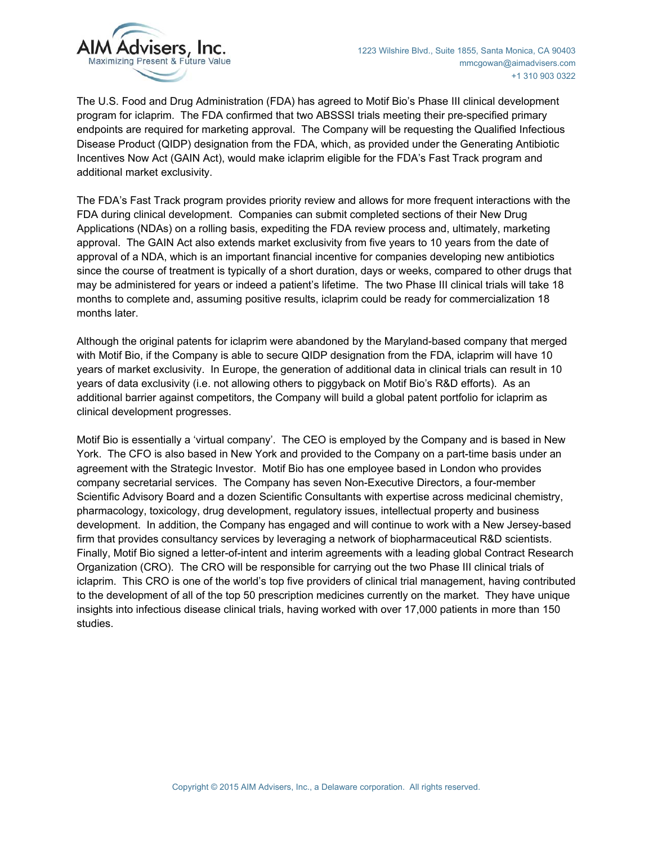

The U.S. Food and Drug Administration (FDA) has agreed to Motif Bio's Phase III clinical development program for iclaprim. The FDA confirmed that two ABSSSI trials meeting their pre-specified primary endpoints are required for marketing approval. The Company will be requesting the Qualified Infectious Disease Product (QIDP) designation from the FDA, which, as provided under the Generating Antibiotic Incentives Now Act (GAIN Act), would make iclaprim eligible for the FDA's Fast Track program and additional market exclusivity.

The FDA's Fast Track program provides priority review and allows for more frequent interactions with the FDA during clinical development. Companies can submit completed sections of their New Drug Applications (NDAs) on a rolling basis, expediting the FDA review process and, ultimately, marketing approval. The GAIN Act also extends market exclusivity from five years to 10 years from the date of approval of a NDA, which is an important financial incentive for companies developing new antibiotics since the course of treatment is typically of a short duration, days or weeks, compared to other drugs that may be administered for years or indeed a patient's lifetime. The two Phase III clinical trials will take 18 months to complete and, assuming positive results, iclaprim could be ready for commercialization 18 months later.

Although the original patents for iclaprim were abandoned by the Maryland-based company that merged with Motif Bio, if the Company is able to secure QIDP designation from the FDA, iclaprim will have 10 years of market exclusivity. In Europe, the generation of additional data in clinical trials can result in 10 years of data exclusivity (i.e. not allowing others to piggyback on Motif Bio's R&D efforts). As an additional barrier against competitors, the Company will build a global patent portfolio for iclaprim as clinical development progresses.

Motif Bio is essentially a 'virtual company'. The CEO is employed by the Company and is based in New York. The CFO is also based in New York and provided to the Company on a part-time basis under an agreement with the Strategic Investor. Motif Bio has one employee based in London who provides company secretarial services. The Company has seven Non-Executive Directors, a four-member Scientific Advisory Board and a dozen Scientific Consultants with expertise across medicinal chemistry, pharmacology, toxicology, drug development, regulatory issues, intellectual property and business development. In addition, the Company has engaged and will continue to work with a New Jersey-based firm that provides consultancy services by leveraging a network of biopharmaceutical R&D scientists. Finally, Motif Bio signed a letter-of-intent and interim agreements with a leading global Contract Research Organization (CRO). The CRO will be responsible for carrying out the two Phase III clinical trials of iclaprim. This CRO is one of the world's top five providers of clinical trial management, having contributed to the development of all of the top 50 prescription medicines currently on the market. They have unique insights into infectious disease clinical trials, having worked with over 17,000 patients in more than 150 studies.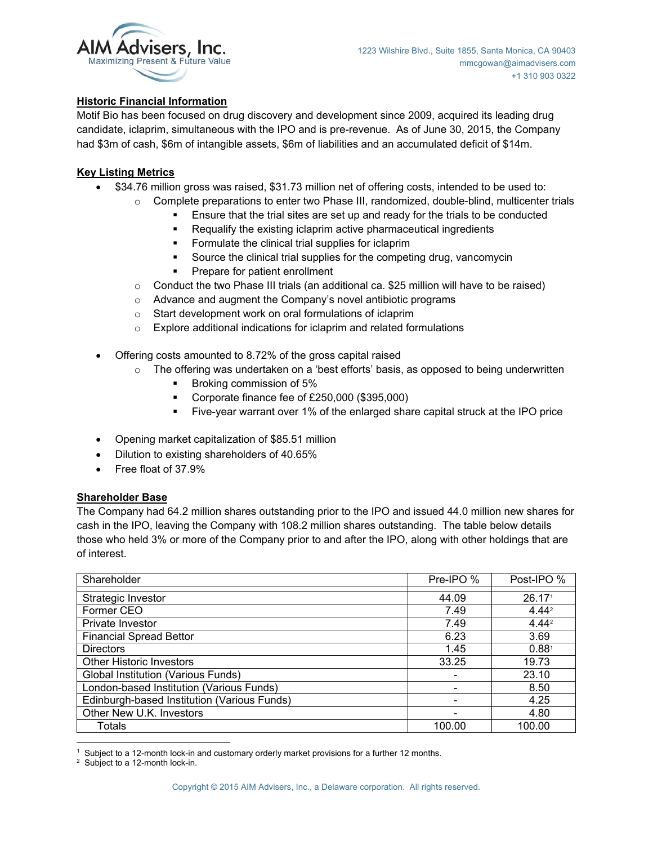

## **Historic Financial Information**

Motif Bio has been focused on drug discovery and development since 2009, acquired its leading drug candidate, iclaprim, simultaneous with the IPO and is pre-revenue. As of June 30, 2015, the Company had \$3m of cash, \$6m of intangible assets, \$6m of liabilities and an accumulated deficit of \$14m.

## **Key Listing Metrics**

- x \$34.76 million gross was raised, \$31.73 million net of offering costs, intended to be used to:
	- o Complete preparations to enter two Phase III, randomized, double-blind, multicenter trials
		- Ensure that the trial sites are set up and ready for the trials to be conducted
		- Requalify the existing iclaprim active pharmaceutical ingredients
		- **Formulate the clinical trial supplies for iclaprim**
		- Source the clinical trial supplies for the competing drug, vancomycin
		- **Prepare for patient enrollment**
	- $\circ$  Conduct the two Phase III trials (an additional ca. \$25 million will have to be raised)
	- o Advance and augment the Company's novel antibiotic programs
	- o Start development work on oral formulations of iclaprim
	- $\circ$  Explore additional indications for iclaprim and related formulations
- Offering costs amounted to 8.72% of the gross capital raised
	- $\circ$  The offering was undertaken on a 'best efforts' basis, as opposed to being underwritten
		- Broking commission of 5%
		- Corporate finance fee of £250,000 (\$395,000)
		- Five-year warrant over 1% of the enlarged share capital struck at the IPO price
- Opening market capitalization of \$85.51 million
- Dilution to existing shareholders of 40.65%
- Free float of 37.9%

#### **Shareholder Base**

The Company had 64.2 million shares outstanding prior to the IPO and issued 44.0 million new shares for cash in the IPO, leaving the Company with 108.2 million shares outstanding. The table below details those who held 3% or more of the Company prior to and after the IPO, along with other holdings that are of interest.

| Shareholder                                 | Pre-IPO % | Post-IPO %         |
|---------------------------------------------|-----------|--------------------|
| Strategic Investor                          | 44.09     | 26.17 <sup>1</sup> |
| Former CEO                                  | 7.49      | $4.44^{2}$         |
| Private Investor                            | 7.49      | 4.44 <sup>2</sup>  |
| <b>Financial Spread Bettor</b>              | 6.23      | 3.69               |
| <b>Directors</b>                            | 1.45      | 0.88 <sup>1</sup>  |
| <b>Other Historic Investors</b>             | 33.25     | 19.73              |
| Global Institution (Various Funds)          |           | 23.10              |
| London-based Institution (Various Funds)    |           | 8.50               |
| Edinburgh-based Institution (Various Funds) |           | 4.25               |
| Other New U.K. Investors                    |           | 4.80               |
| <b>Totals</b>                               | 100.00    | 100.00             |

 <sup>1</sup> Subject to a 12-month lock-in and customary orderly market provisions for a further 12 months.<br><sup>2</sup> Subject to a 12-month lock-in

 $2$  Subject to a 12-month lock-in.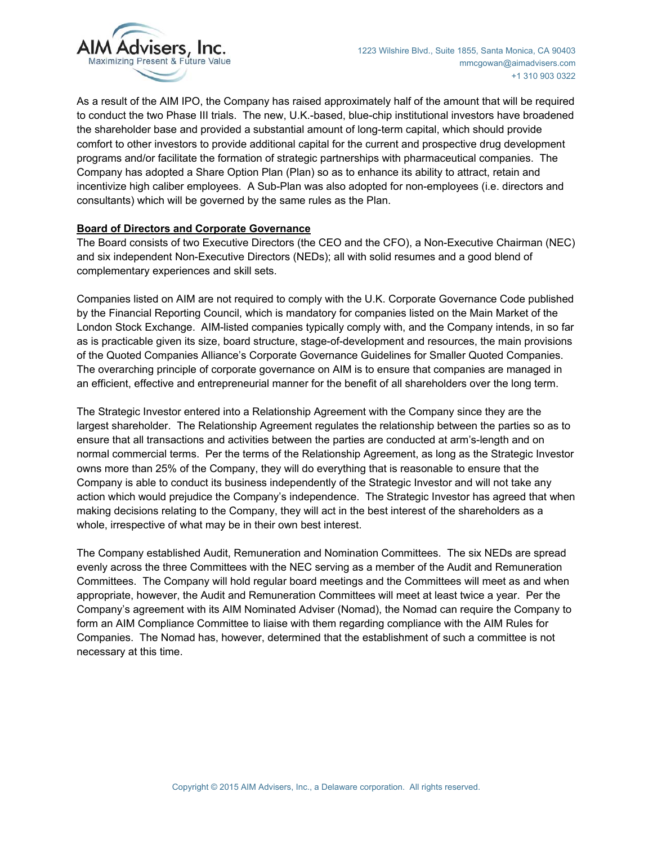

As a result of the AIM IPO, the Company has raised approximately half of the amount that will be required to conduct the two Phase III trials. The new, U.K.-based, blue-chip institutional investors have broadened the shareholder base and provided a substantial amount of long-term capital, which should provide comfort to other investors to provide additional capital for the current and prospective drug development programs and/or facilitate the formation of strategic partnerships with pharmaceutical companies. The Company has adopted a Share Option Plan (Plan) so as to enhance its ability to attract, retain and incentivize high caliber employees. A Sub-Plan was also adopted for non-employees (i.e. directors and consultants) which will be governed by the same rules as the Plan.

## **Board of Directors and Corporate Governance**

The Board consists of two Executive Directors (the CEO and the CFO), a Non-Executive Chairman (NEC) and six independent Non-Executive Directors (NEDs); all with solid resumes and a good blend of complementary experiences and skill sets.

Companies listed on AIM are not required to comply with the U.K. Corporate Governance Code published by the Financial Reporting Council, which is mandatory for companies listed on the Main Market of the London Stock Exchange. AIM-listed companies typically comply with, and the Company intends, in so far as is practicable given its size, board structure, stage-of-development and resources, the main provisions of the Quoted Companies Alliance's Corporate Governance Guidelines for Smaller Quoted Companies. The overarching principle of corporate governance on AIM is to ensure that companies are managed in an efficient, effective and entrepreneurial manner for the benefit of all shareholders over the long term.

The Strategic Investor entered into a Relationship Agreement with the Company since they are the largest shareholder. The Relationship Agreement regulates the relationship between the parties so as to ensure that all transactions and activities between the parties are conducted at arm's-length and on normal commercial terms. Per the terms of the Relationship Agreement, as long as the Strategic Investor owns more than 25% of the Company, they will do everything that is reasonable to ensure that the Company is able to conduct its business independently of the Strategic Investor and will not take any action which would prejudice the Company's independence. The Strategic Investor has agreed that when making decisions relating to the Company, they will act in the best interest of the shareholders as a whole, irrespective of what may be in their own best interest.

The Company established Audit, Remuneration and Nomination Committees. The six NEDs are spread evenly across the three Committees with the NEC serving as a member of the Audit and Remuneration Committees. The Company will hold regular board meetings and the Committees will meet as and when appropriate, however, the Audit and Remuneration Committees will meet at least twice a year. Per the Company's agreement with its AIM Nominated Adviser (Nomad), the Nomad can require the Company to form an AIM Compliance Committee to liaise with them regarding compliance with the AIM Rules for Companies. The Nomad has, however, determined that the establishment of such a committee is not necessary at this time.